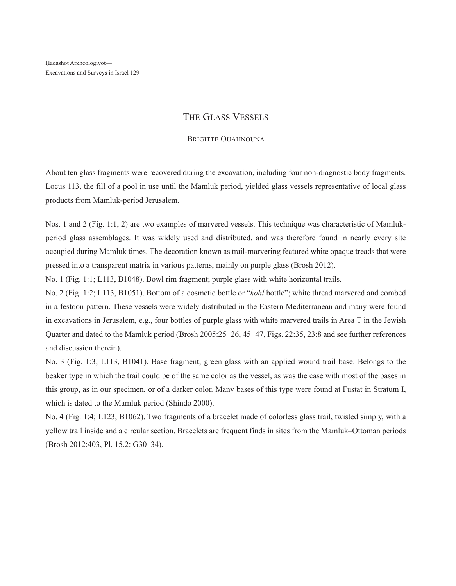## The Glass Vessels

## BRIGITTE OUAHNOUNA

About ten glass fragments were recovered during the excavation, including four non-diagnostic body fragments. Locus 113, the fill of a pool in use until the Mamluk period, yielded glass vessels representative of local glass products from Mamluk-period Jerusalem.

Nos. 1 and 2 (Fig. 1:1, 2) are two examples of marvered vessels. This technique was characteristic of Mamlukperiod glass assemblages. It was widely used and distributed, and was therefore found in nearly every site occupied during Mamluk times. The decoration known as trail-marvering featured white opaque treads that were pressed into a transparent matrix in various patterns, mainly on purple glass (Brosh 2012).

No. 1 (Fig. 1:1; L113, B1048). Bowl rim fragment; purple glass with white horizontal trails.

No. 2 (Fig. 1:2; L113, B1051). Bottom of a cosmetic bottle or "*kohl* bottle"; white thread marvered and combed in a festoon pattern. These vessels were widely distributed in the Eastern Mediterranean and many were found in excavations in Jerusalem, e.g., four bottles of purple glass with white marvered trails in Area T in the Jewish Quarter and dated to the Mamluk period (Brosh 2005:25−26, 45−47, Figs. 22:35, 23:8 and see further references and discussion therein).

No. 3 (Fig. 1:3; L113, B1041). Base fragment; green glass with an applied wound trail base. Belongs to the beaker type in which the trail could be of the same color as the vessel, as was the case with most of the bases in this group, as in our specimen, or of a darker color. Many bases of this type were found at Fustat in Stratum I, which is dated to the Mamluk period (Shindo 2000).

No. 4 (Fig. 1:4; L123, B1062). Two fragments of a bracelet made of colorless glass trail, twisted simply, with a yellow trail inside and a circular section. Bracelets are frequent finds in sites from the Mamluk–Ottoman periods (Brosh 2012:403, Pl. 15.2: G30–34).